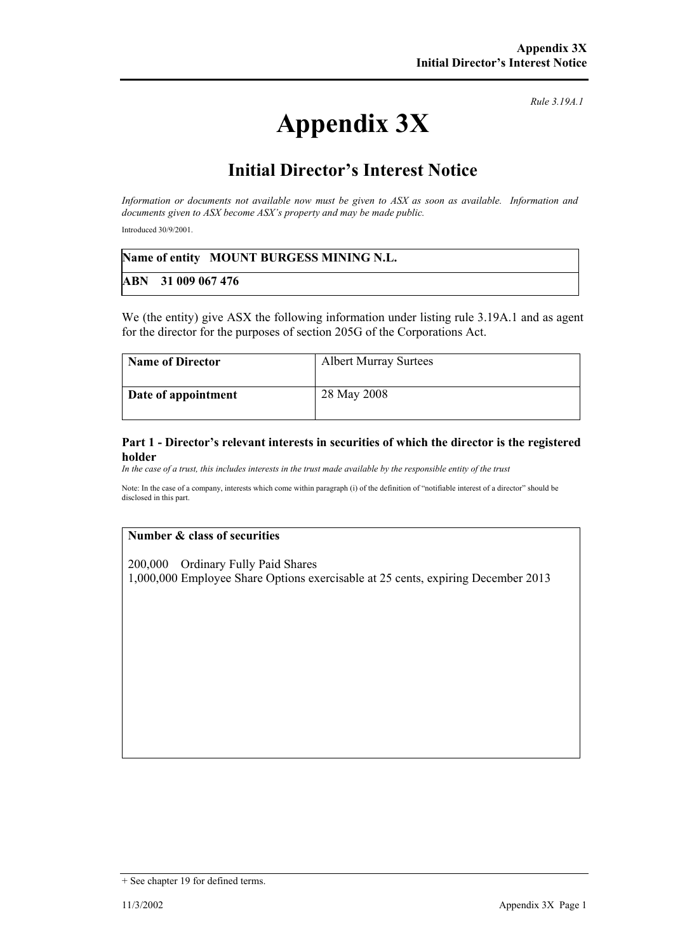# **Appendix 3X**

*Rule 3.19A.1*

# **Initial Director's Interest Notice**

*Information or documents not available now must be given to ASX as soon as available. Information and documents given to ASX become ASX's property and may be made public.* 

Introduced 30/9/2001.

|                      | Name of entity MOUNT BURGESS MINING N.L. |
|----------------------|------------------------------------------|
| $ABN$ 31 009 067 476 |                                          |

We (the entity) give ASX the following information under listing rule 3.19A.1 and as agent for the director for the purposes of section 205G of the Corporations Act.

| <b>Name of Director</b> | <b>Albert Murray Surtees</b> |
|-------------------------|------------------------------|
| Date of appointment     | 28 May 2008                  |

### **Part 1 - Director's relevant interests in securities of which the director is the registered holder**

*In the case of a trust, this includes interests in the trust made available by the responsible entity of the trust*

Note: In the case of a company, interests which come within paragraph (i) of the definition of "notifiable interest of a director" should be disclosed in this part.

### **Number & class of securities**

200,000 Ordinary Fully Paid Shares 1,000,000 Employee Share Options exercisable at 25 cents, expiring December 2013

<sup>+</sup> See chapter 19 for defined terms.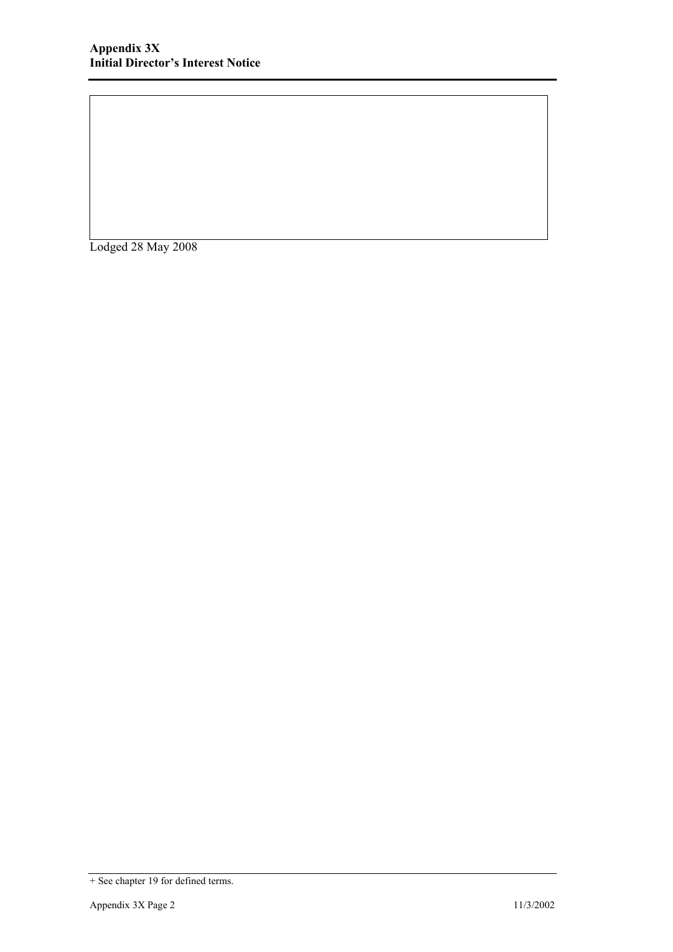Lodged 28 May 2008

<sup>+</sup> See chapter 19 for defined terms.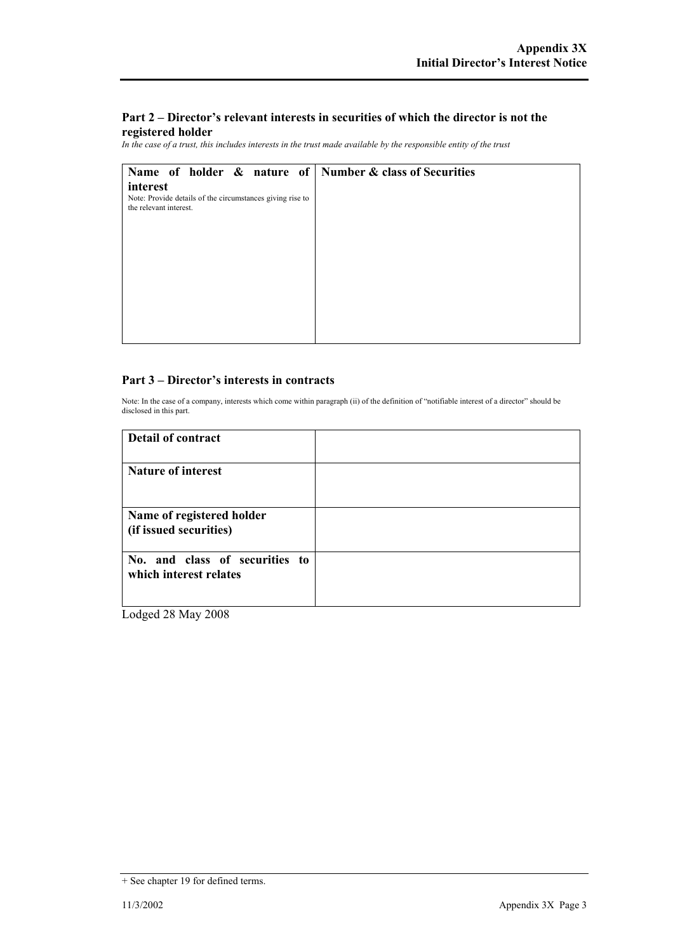## **Part 2 – Director's relevant interests in securities of which the director is not the registered holder**

*In the case of a trust, this includes interests in the trust made available by the responsible entity of the trust*

| Name of holder & nature of Number & class of Securities                             |  |
|-------------------------------------------------------------------------------------|--|
| interest                                                                            |  |
| Note: Provide details of the circumstances giving rise to<br>the relevant interest. |  |
|                                                                                     |  |
|                                                                                     |  |
|                                                                                     |  |
|                                                                                     |  |
|                                                                                     |  |
|                                                                                     |  |
|                                                                                     |  |
|                                                                                     |  |
|                                                                                     |  |

### **Part 3 – Director's interests in contracts**

Note: In the case of a company, interests which come within paragraph (ii) of the definition of "notifiable interest of a director" should be disclosed in this part.

| <b>Detail of contract</b>                                |  |
|----------------------------------------------------------|--|
| <b>Nature of interest</b>                                |  |
| Name of registered holder<br>(if issued securities)      |  |
| No. and class of securities to<br>which interest relates |  |

Lodged 28 May 2008

<sup>+</sup> See chapter 19 for defined terms.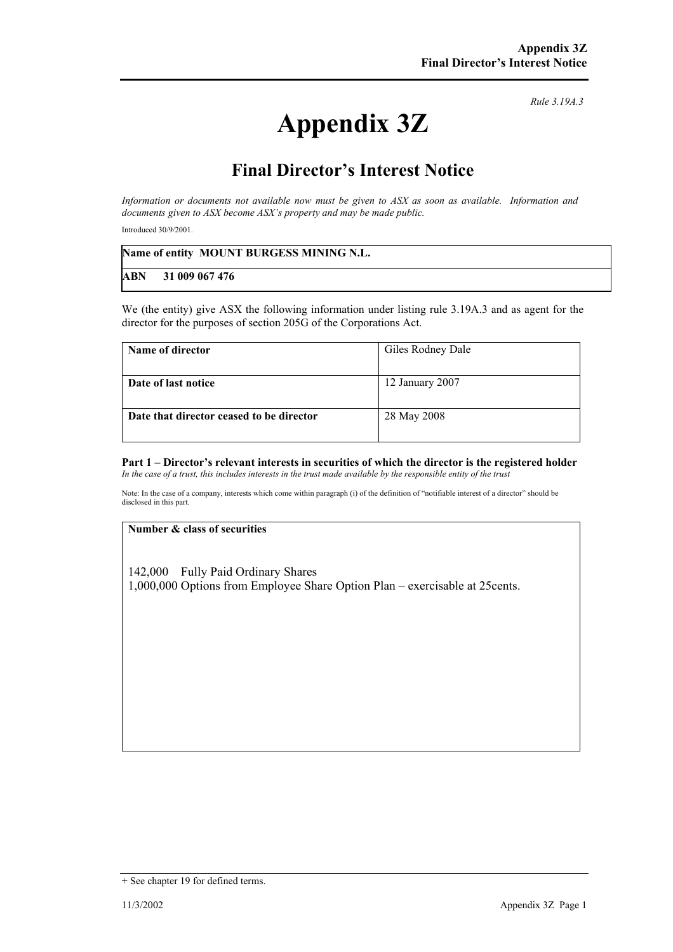# **Appendix 3Z**

*Rule 3.19A.3*

# **Final Director's Interest Notice**

*Information or documents not available now must be given to ASX as soon as available. Information and documents given to ASX become ASX's property and may be made public.* 

Introduced 30/9/2001.

|            | Name of entity MOUNT BURGESS MINING N.L. |
|------------|------------------------------------------|
| <b>ABN</b> | 31 009 067 476                           |

We (the entity) give ASX the following information under listing rule 3.19A.3 and as agent for the director for the purposes of section 205G of the Corporations Act.

| Name of director                         | Giles Rodney Dale |
|------------------------------------------|-------------------|
| Date of last notice                      | 12 January 2007   |
| Date that director ceased to be director | 28 May 2008       |

#### **Part 1 – Director's relevant interests in securities of which the director is the registered holder** *In the case of a trust, this includes interests in the trust made available by the responsible entity of the trust*

Note: In the case of a company, interests which come within paragraph (i) of the definition of "notifiable interest of a director" should be disclosed in this part.

#### **Number & class of securities**

142,000 Fully Paid Ordinary Shares 1,000,000 Options from Employee Share Option Plan – exercisable at 25cents.

<sup>+</sup> See chapter 19 for defined terms.